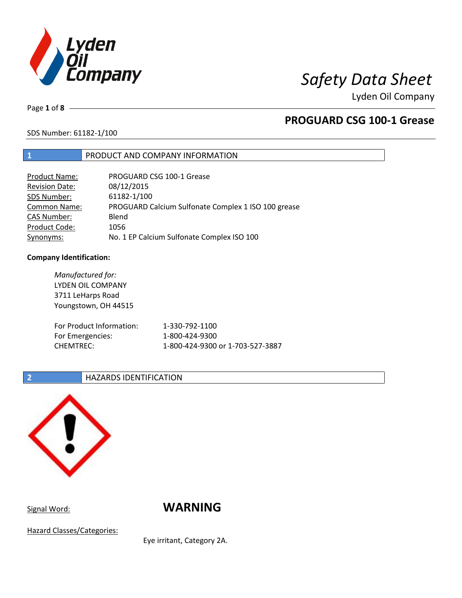

# *Safety Data Sheet*

Lyden Oil Company

Page **1** of **8**

## **PROGUARD CSG 100-1 Grease**

## SDS Number: 61182-1/100

## **1** PRODUCT AND COMPANY INFORMATION

| <b>Product Name:</b>  | PROGUARD CSG 100-1 Grease                           |
|-----------------------|-----------------------------------------------------|
| <b>Revision Date:</b> | 08/12/2015                                          |
| SDS Number:           | 61182-1/100                                         |
| <b>Common Name:</b>   | PROGUARD Calcium Sulfonate Complex 1 ISO 100 grease |
| <b>CAS Number:</b>    | Blend                                               |
| Product Code:         | 1056                                                |
| Synonyms:             | No. 1 EP Calcium Sulfonate Complex ISO 100          |

### **Company Identification:**

| Manufactured for:<br>LYDEN OIL COMPANY<br>3711 LeHarps Road |                                  |
|-------------------------------------------------------------|----------------------------------|
| Youngstown, OH 44515                                        |                                  |
| For Product Information:                                    | 1-330-792-1100                   |
| For Emergencies:                                            | 1-800-424-9300                   |
| <b>CHEMTREC:</b>                                            | 1-800-424-9300 or 1-703-527-3887 |

### **2 HAZARDS IDENTIFICATION**



Signal Word: **WARNING** 

Hazard Classes/Categories:

Eye irritant, Category 2A.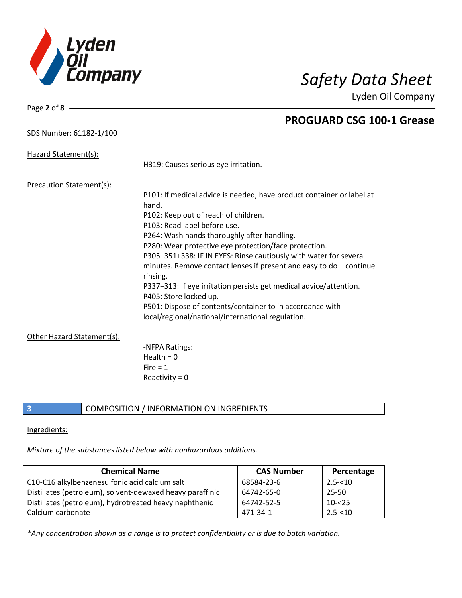

**PROGUARD CSG 100-1 Grease**

Lyden Oil Company

## SDS Number: 61182-1/100

Page **2** of **8**

| Hazard Statement(s):            | H319: Causes serious eye irritation.                                                                                                                    |
|---------------------------------|---------------------------------------------------------------------------------------------------------------------------------------------------------|
| <b>Precaution Statement(s):</b> |                                                                                                                                                         |
|                                 | P101: If medical advice is needed, have product container or label at<br>hand.                                                                          |
|                                 | P102: Keep out of reach of children.                                                                                                                    |
|                                 | P103: Read label before use.                                                                                                                            |
|                                 | P264: Wash hands thoroughly after handling.                                                                                                             |
|                                 | P280: Wear protective eye protection/face protection.                                                                                                   |
|                                 | P305+351+338: IF IN EYES: Rinse cautiously with water for several                                                                                       |
|                                 |                                                                                                                                                         |
|                                 |                                                                                                                                                         |
|                                 | P405: Store locked up.                                                                                                                                  |
|                                 | P501: Dispose of contents/container to in accordance with                                                                                               |
|                                 | local/regional/national/international regulation.                                                                                                       |
|                                 |                                                                                                                                                         |
|                                 | -NFPA Ratings:                                                                                                                                          |
|                                 | Health = $0$                                                                                                                                            |
|                                 | $Fire = 1$                                                                                                                                              |
|                                 | Reactivity = $0$                                                                                                                                        |
| Other Hazard Statement(s):      | minutes. Remove contact lenses if present and easy to $do$ – continue<br>rinsing.<br>P337+313: If eye irritation persists get medical advice/attention. |

**3** COMPOSITION / INFORMATION ON INGREDIENTS

### Ingredients:

*Mixture of the substances listed below with nonhazardous additions.*

| <b>Chemical Name</b>                                      | <b>CAS Number</b> | Percentage |
|-----------------------------------------------------------|-------------------|------------|
| C10-C16 alkylbenzenesulfonic acid calcium salt            | 68584-23-6        | $2.5 - 10$ |
| Distillates (petroleum), solvent-dewaxed heavy paraffinic | 64742-65-0        | 25-50      |
| Distillates (petroleum), hydrotreated heavy naphthenic    | 64742-52-5        | $10 - 25$  |
| Calcium carbonate                                         | 471-34-1          | $2.5 - 10$ |

*\*Any concentration shown as a range is to protect confidentiality or is due to batch variation.*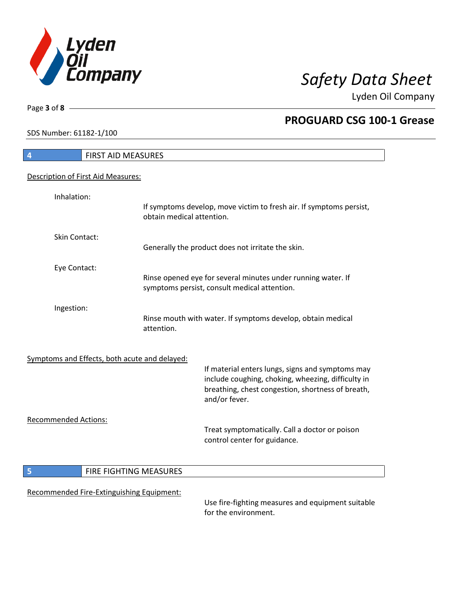

SDS Number: 61182-1/100

Page **3** of **8**

## **PROGUARD CSG 100-1 Grease**

| 4                           | FIRST AID MEASURES                            |                                                                                                                                                                              |
|-----------------------------|-----------------------------------------------|------------------------------------------------------------------------------------------------------------------------------------------------------------------------------|
|                             | Description of First Aid Measures:            |                                                                                                                                                                              |
| Inhalation:                 |                                               | If symptoms develop, move victim to fresh air. If symptoms persist,<br>obtain medical attention.                                                                             |
| Skin Contact:               |                                               | Generally the product does not irritate the skin.                                                                                                                            |
| Eye Contact:                |                                               | Rinse opened eye for several minutes under running water. If<br>symptoms persist, consult medical attention.                                                                 |
| Ingestion:                  | attention.                                    | Rinse mouth with water. If symptoms develop, obtain medical                                                                                                                  |
|                             | Symptoms and Effects, both acute and delayed: | If material enters lungs, signs and symptoms may<br>include coughing, choking, wheezing, difficulty in<br>breathing, chest congestion, shortness of breath,<br>and/or fever. |
| <b>Recommended Actions:</b> |                                               | Treat symptomatically. Call a doctor or poison<br>control center for guidance.                                                                                               |
| 5                           | FIRE FIGHTING MEASURES                        |                                                                                                                                                                              |
|                             | Recommended Fire-Extinguishing Equipment:     | Use fire-fighting measures and equipment suitable<br>for the environment.                                                                                                    |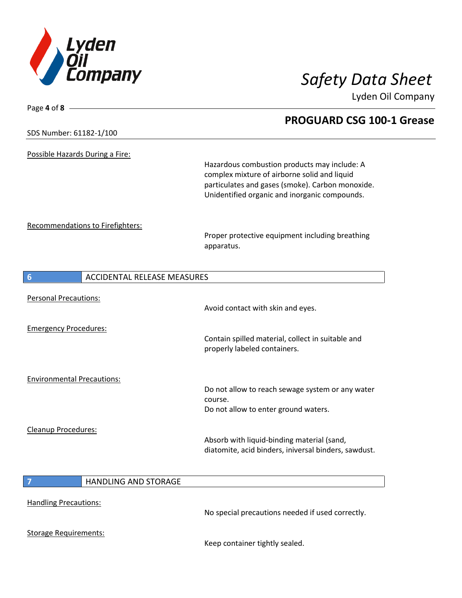

| Page 4 of 8                       |                                    |                                                      |  |
|-----------------------------------|------------------------------------|------------------------------------------------------|--|
|                                   |                                    | <b>PROGUARD CSG 100-1 Grease</b>                     |  |
| SDS Number: 61182-1/100           |                                    |                                                      |  |
| Possible Hazards During a Fire:   |                                    |                                                      |  |
|                                   |                                    | Hazardous combustion products may include: A         |  |
|                                   |                                    | complex mixture of airborne solid and liquid         |  |
|                                   |                                    | particulates and gases (smoke). Carbon monoxide.     |  |
|                                   |                                    | Unidentified organic and inorganic compounds.        |  |
| Recommendations to Firefighters:  |                                    |                                                      |  |
|                                   |                                    | Proper protective equipment including breathing      |  |
|                                   |                                    | apparatus.                                           |  |
|                                   |                                    |                                                      |  |
| 6                                 | <b>ACCIDENTAL RELEASE MEASURES</b> |                                                      |  |
| <b>Personal Precautions:</b>      |                                    |                                                      |  |
|                                   |                                    | Avoid contact with skin and eyes.                    |  |
| <b>Emergency Procedures:</b>      |                                    |                                                      |  |
|                                   |                                    | Contain spilled material, collect in suitable and    |  |
|                                   |                                    | properly labeled containers.                         |  |
|                                   |                                    |                                                      |  |
| <b>Environmental Precautions:</b> |                                    | Do not allow to reach sewage system or any water     |  |
|                                   |                                    | course.                                              |  |
|                                   |                                    | Do not allow to enter ground waters.                 |  |
| <b>Cleanup Procedures:</b>        |                                    |                                                      |  |
|                                   |                                    | Absorb with liquid-binding material (sand,           |  |
|                                   |                                    | diatomite, acid binders, iniversal binders, sawdust. |  |
|                                   |                                    |                                                      |  |
| $\overline{7}$                    | HANDLING AND STORAGE               |                                                      |  |
| <b>Handling Precautions:</b>      |                                    |                                                      |  |
|                                   |                                    | No special precautions needed if used correctly.     |  |
| <b>Storage Requirements:</b>      |                                    |                                                      |  |
|                                   |                                    |                                                      |  |

Keep container tightly sealed.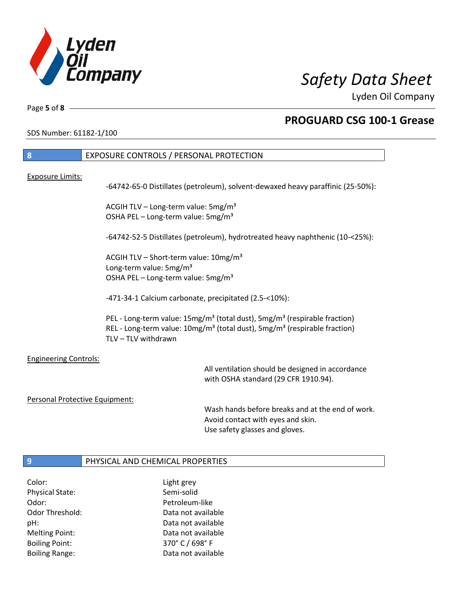

٦

Page **5** of **8**

## **PROGUARD CSG 100-1 Grease**

SDS Number: 61182-1/100

| 8                              | EXPOSURE CONTROLS / PERSONAL PROTECTION                                                                                                                                                                                       |
|--------------------------------|-------------------------------------------------------------------------------------------------------------------------------------------------------------------------------------------------------------------------------|
|                                |                                                                                                                                                                                                                               |
| <b>Exposure Limits:</b>        | -64742-65-0 Distillates (petroleum), solvent-dewaxed heavy paraffinic (25-50%):                                                                                                                                               |
|                                | ACGIH TLV - Long-term value: 5mg/m <sup>3</sup><br>OSHA PEL - Long-term value: 5mg/m <sup>3</sup>                                                                                                                             |
|                                | -64742-52-5 Distillates (petroleum), hydrotreated heavy naphthenic (10-<25%):                                                                                                                                                 |
|                                | ACGIH TLV - Short-term value: $10\,\text{mg/m}^3$<br>Long-term value: 5mg/m <sup>3</sup><br>OSHA PEL - Long-term value: 5mg/m <sup>3</sup>                                                                                    |
|                                | -471-34-1 Calcium carbonate, precipitated (2.5-<10%):                                                                                                                                                                         |
|                                | PEL - Long-term value: 15mg/m <sup>3</sup> (total dust), 5mg/m <sup>3</sup> (respirable fraction)<br>REL - Long-term value: 10mg/m <sup>3</sup> (total dust), 5mg/m <sup>3</sup> (respirable fraction)<br>TLV - TLV withdrawn |
| <b>Engineering Controls:</b>   | All ventilation should be designed in accordance<br>with OSHA standard (29 CFR 1910.94).                                                                                                                                      |
| Personal Protective Equipment: |                                                                                                                                                                                                                               |
|                                |                                                                                                                                                                                                                               |

Wash hands before breaks and at the end of work. Avoid contact with eyes and skin. Use safety glasses and gloves.

## **9** PHYSICAL AND CHEMICAL PROPERTIES

Color: Light grey Physical State: Semi-solid Odor: Petroleum-like Boiling Point: 370° C / 698° F

Odor Threshold: Data not available pH: Data not available Melting Point: Data not available Boiling Range: The Collection of Data not available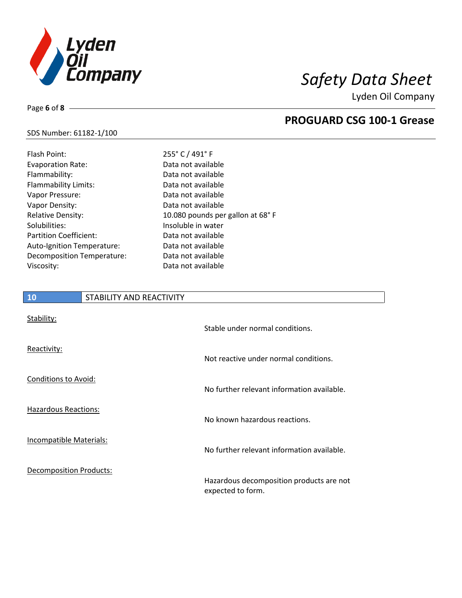

**PROGUARD CSG 100-1 Grease**

Lyden Oil Company

### SDS Number: 61182-1/100

Page **6** of **8**

| Flash Point:                  | 255° C / 491° F                   |
|-------------------------------|-----------------------------------|
| <b>Evaporation Rate:</b>      | Data not available                |
| Flammability:                 | Data not available                |
| Flammability Limits:          | Data not available                |
| Vapor Pressure:               | Data not available                |
| Vapor Density:                | Data not available                |
| <b>Relative Density:</b>      | 10.080 pounds per gallon at 68° F |
| Solubilities:                 | Insoluble in water                |
| <b>Partition Coefficient:</b> | Data not available                |
| Auto-Ignition Temperature:    | Data not available                |
| Decomposition Temperature:    | Data not available                |
| Viscosity:                    | Data not available                |

# **10** STABILITY AND REACTIVITY Stability: Stable under normal conditions. Reactivity: Not reactive under normal conditions. Conditions to Avoid: No further relevant information available. Hazardous Reactions: No known hazardous reactions. Incompatible Materials: No further relevant information available. Decomposition Products: Hazardous decomposition products are not expected to form.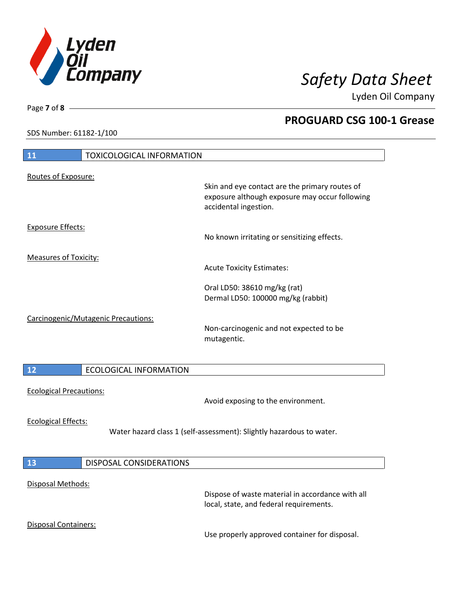

**PROGUARD CSG 100-1 Grease**

Lyden Oil Company

SDS Number: 61182-1/100

# **11** TOXICOLOGICAL INFORMATION Routes of Exposure: Skin and eye contact are the primary routes of exposure although exposure may occur following accidental ingestion. Exposure Effects: No known irritating or sensitizing effects. Measures of Toxicity: Acute Toxicity Estimates: Oral LD50: 38610 mg/kg (rat) Dermal LD50: 100000 mg/kg (rabbit) Carcinogenic/Mutagenic Precautions: Non-carcinogenic and not expected to be mutagentic. **12** ECOLOGICAL INFORMATION Ecological Precautions: Avoid exposing to the environment. Ecological Effects: Water hazard class 1 (self-assessment): Slightly hazardous to water. **13** DISPOSAL CONSIDERATIONS Disposal Methods: Dispose of waste material in accordance with all local, state, and federal requirements. Disposal Containers: Use properly approved container for disposal.

Page **7** of **8**